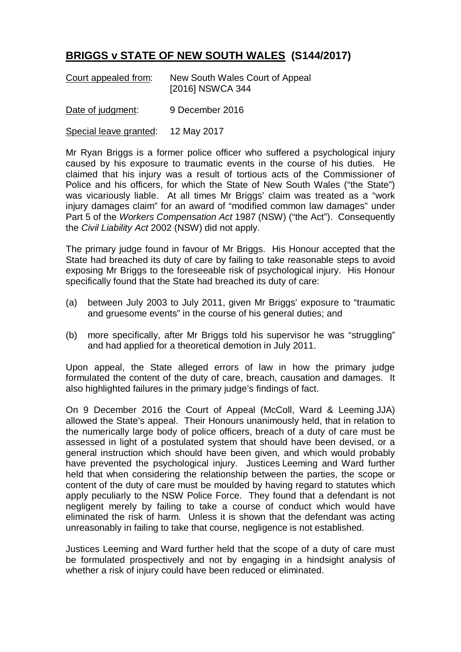## **BRIGGS v STATE OF NEW SOUTH WALES (S144/2017)**

| Court appealed from: | New South Wales Court of Appeal |
|----------------------|---------------------------------|
|                      | [2016] NSWCA 344                |

Date of judgment: 9 December 2016

Special leave granted: 12 May 2017

Mr Ryan Briggs is a former police officer who suffered a psychological injury caused by his exposure to traumatic events in the course of his duties. He claimed that his injury was a result of tortious acts of the Commissioner of Police and his officers, for which the State of New South Wales ("the State") was vicariously liable. At all times Mr Briggs' claim was treated as a "work injury damages claim" for an award of "modified common law damages" under Part 5 of the *Workers Compensation Act* 1987 (NSW) ("the Act"). Consequently the *Civil Liability Act* 2002 (NSW) did not apply.

The primary judge found in favour of Mr Briggs. His Honour accepted that the State had breached its duty of care by failing to take reasonable steps to avoid exposing Mr Briggs to the foreseeable risk of psychological injury. His Honour specifically found that the State had breached its duty of care:

- (a) between July 2003 to July 2011, given Mr Briggs' exposure to "traumatic and gruesome events" in the course of his general duties; and
- (b) more specifically, after Mr Briggs told his supervisor he was "struggling" and had applied for a theoretical demotion in July 2011.

Upon appeal, the State alleged errors of law in how the primary judge formulated the content of the duty of care, breach, causation and damages. It also highlighted failures in the primary judge's findings of fact.

On 9 December 2016 the Court of Appeal (McColl, Ward & Leeming JJA) allowed the State's appeal. Their Honours unanimously held, that in relation to the numerically large body of police officers, breach of a duty of care must be assessed in light of a postulated system that should have been devised, or a general instruction which should have been given, and which would probably have prevented the psychological injury. Justices Leeming and Ward further held that when considering the relationship between the parties, the scope or content of the duty of care must be moulded by having regard to statutes which apply peculiarly to the NSW Police Force. They found that a defendant is not negligent merely by failing to take a course of conduct which would have eliminated the risk of harm. Unless it is shown that the defendant was acting unreasonably in failing to take that course, negligence is not established.

Justices Leeming and Ward further held that the scope of a duty of care must be formulated prospectively and not by engaging in a hindsight analysis of whether a risk of injury could have been reduced or eliminated.